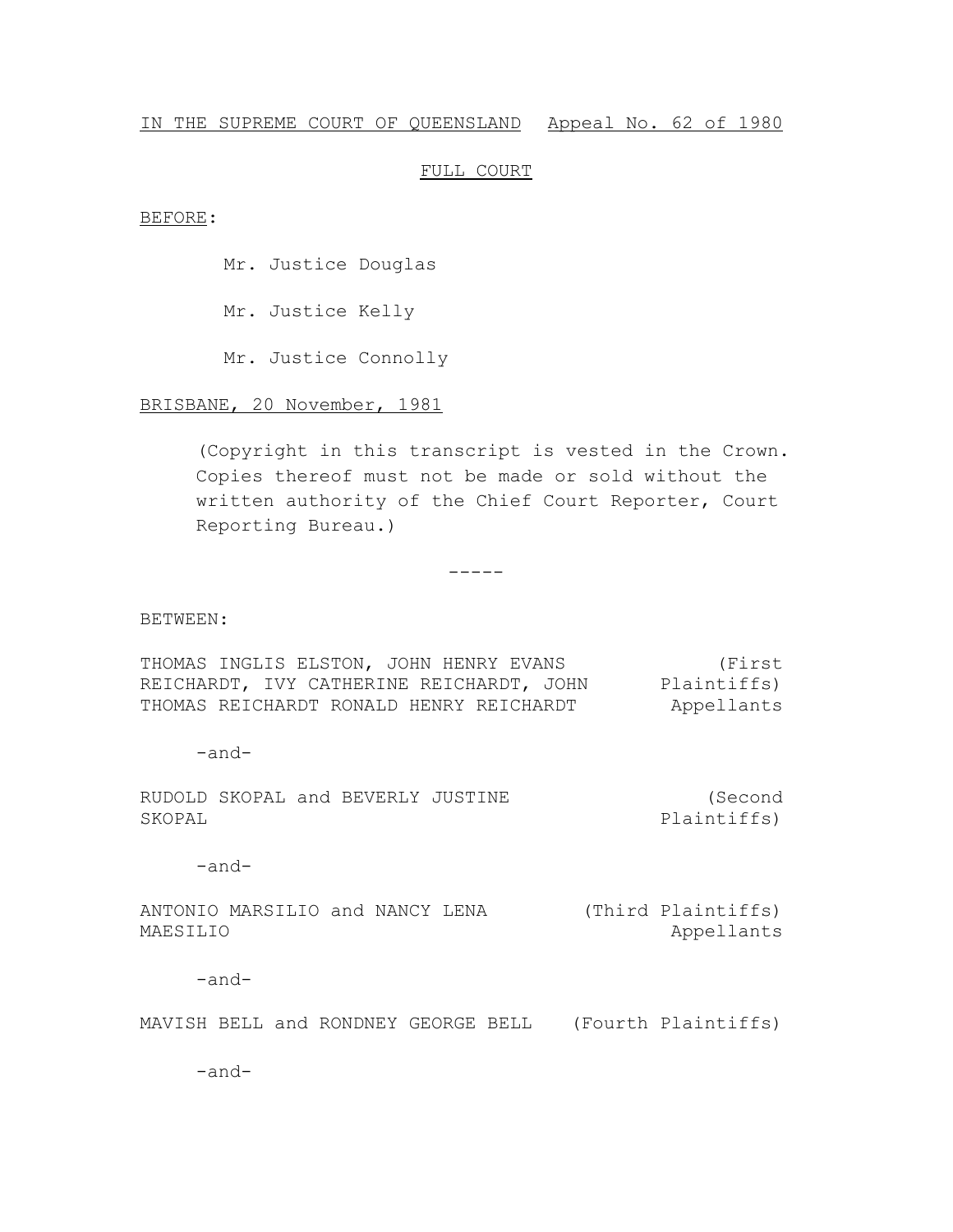### IN THE SUPREME COURT OF QUEENSLAND Appeal No. 62 of 1980

## FULL COURT

BEFORE:

Mr. Justice Douglas

Mr. Justice Kelly

Mr. Justice Connolly

BRISBANE, 20 November, 1981

(Copyright in this transcript is vested in the Crown. Copies thereof must not be made or sold without the written authority of the Chief Court Reporter, Court Reporting Bureau.)

-----

#### BETWEEN:

THOMAS INGLIS ELSTON, JOHN HENRY EVANS REICHARDT, IVY CATHERINE REICHARDT, JOHN Plaintiffs) THOMAS REICHARDT RONALD HENRY REICHARDT (First Appellants

-and-

RUDOLD SKOPAL and BEVERLY JUSTINE SKOPAL (Second Plaintiffs)

-and-

ANTONIO MARSILIO and NANCY LENA (Third Plaintiffs) MAESILIO Appellants

-and-

MAVISH BELL and RONDNEY GEORGE BELL (Fourth Plaintiffs)

-and-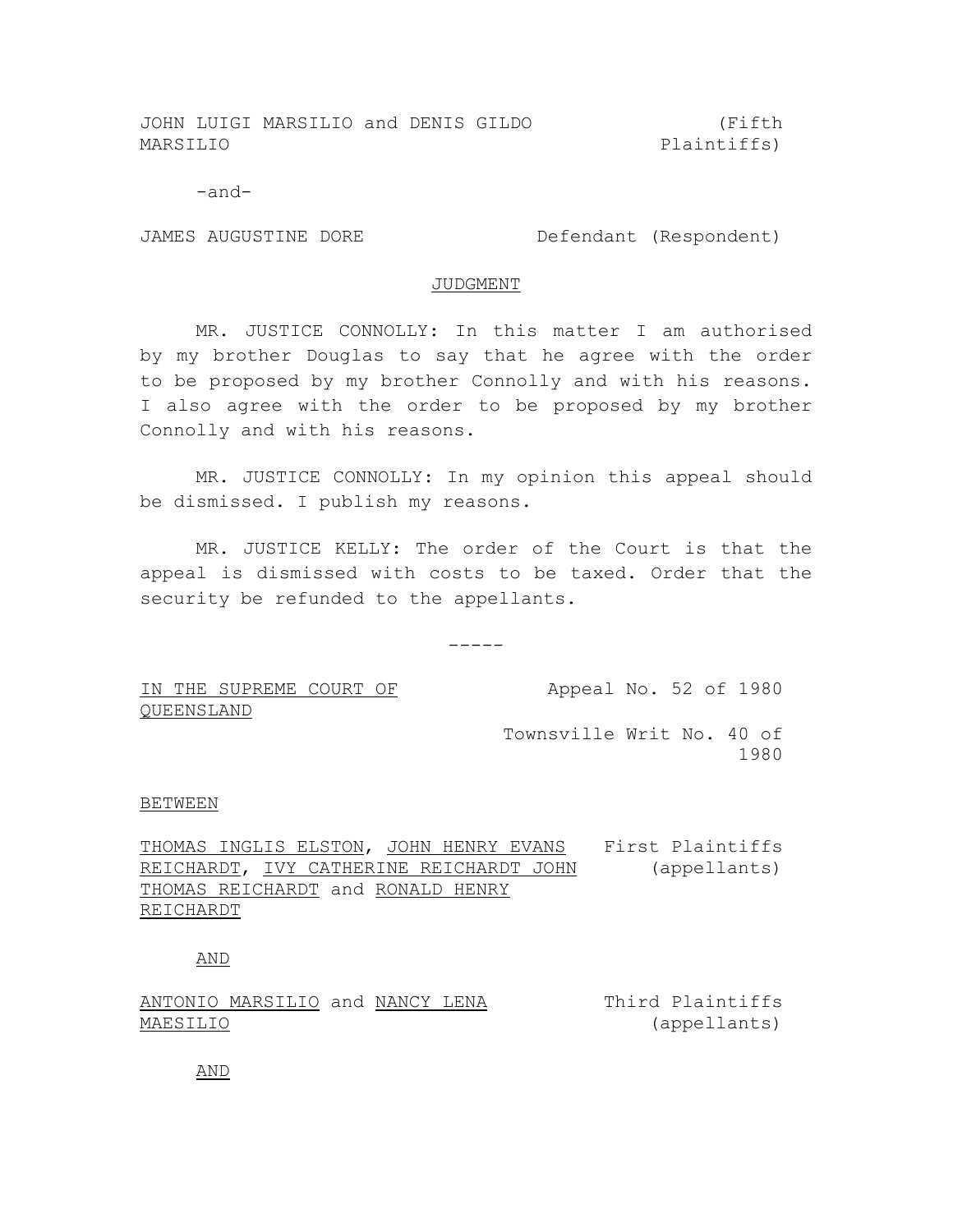JOHN LUIGI MARSILIO and DENIS GILDO MARSILIO

(Fifth Plaintiffs)

-and-

JAMES AUGUSTINE DORE DE Defendant (Respondent)

#### JUDGMENT

MR. JUSTICE CONNOLLY: In this matter I am authorised by my brother Douglas to say that he agree with the order to be proposed by my brother Connolly and with his reasons. I also agree with the order to be proposed by my brother Connolly and with his reasons.

MR. JUSTICE CONNOLLY: In my opinion this appeal should be dismissed. I publish my reasons.

MR. JUSTICE KELLY: The order of the Court is that the appeal is dismissed with costs to be taxed. Order that the security be refunded to the appellants.

 $-----$ 

IN THE SUPREME COURT OF QUEENSLAND

Appeal No. 52 of 1980

Townsville Writ No. 40 of 1980

#### BETWEEN

THOMAS INGLIS ELSTON, JOHN HENRY EVANS First Plaintiffs REICHARDT, IVY CATHERINE REICHARDT JOHN THOMAS REICHARDT and RONALD HENRY REICHARDT (appellants)

# AND

ANTONIO MARSILIO and NANCY LENA MAESILIO Third Plaintiffs (appellants)

AND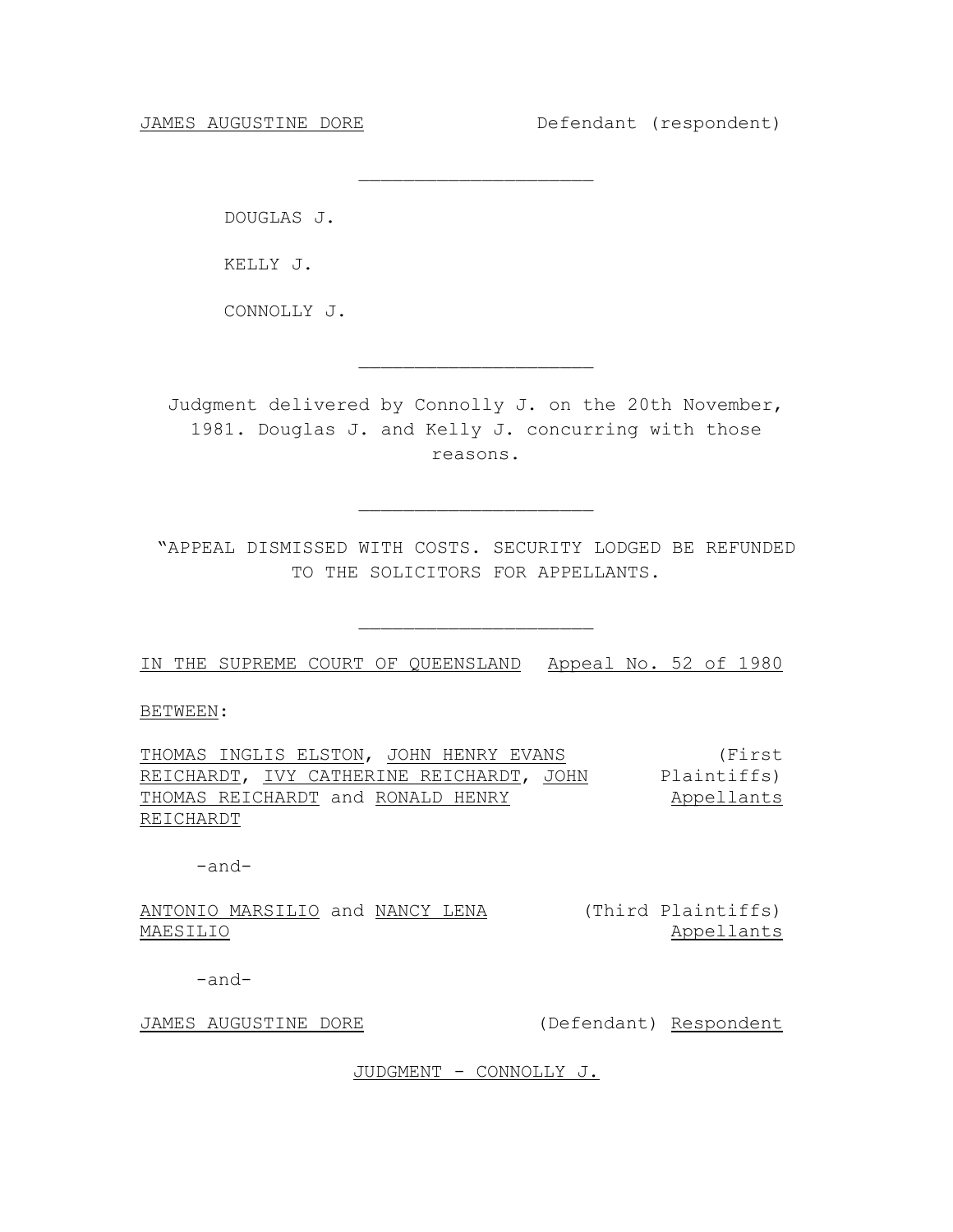DOUGLAS J.

KELLY J.

CONNOLLY J.

Judgment delivered by Connolly J. on the 20th November, 1981. Douglas J. and Kelly J. concurring with those reasons.

 $\overline{\phantom{a}}$  , where  $\overline{\phantom{a}}$  , where  $\overline{\phantom{a}}$  , where  $\overline{\phantom{a}}$ 

 $\overline{\phantom{a}}$  , where  $\overline{\phantom{a}}$  , where  $\overline{\phantom{a}}$  , where  $\overline{\phantom{a}}$ 

"APPEAL DISMISSED WITH COSTS. SECURITY LODGED BE REFUNDED TO THE SOLICITORS FOR APPELLANTS.

 $\overline{\phantom{a}}$  , where  $\overline{\phantom{a}}$  , where  $\overline{\phantom{a}}$  , where  $\overline{\phantom{a}}$ 

 $\overline{\phantom{a}}$  , where  $\overline{\phantom{a}}$  , where  $\overline{\phantom{a}}$  , where  $\overline{\phantom{a}}$ 

IN THE SUPREME COURT OF QUEENSLAND Appeal No. 52 of 1980

BETWEEN:

THOMAS INGLIS ELSTON, JOHN HENRY EVANS REICHARDT, <u>IVY CATHERINE REICHARDT, JOHN</u> Plaintiffs) THOMAS REICHARDT and RONALD HENRY REICHARDT (First Appellants

-and-

ANTONIO MARSILIO and NANCY LENA (Third Plaintiffs) MAESILIO Appellants

-and-

JAMES AUGUSTINE DORE (Defendant) Respondent

JUDGMENT - CONNOLLY J.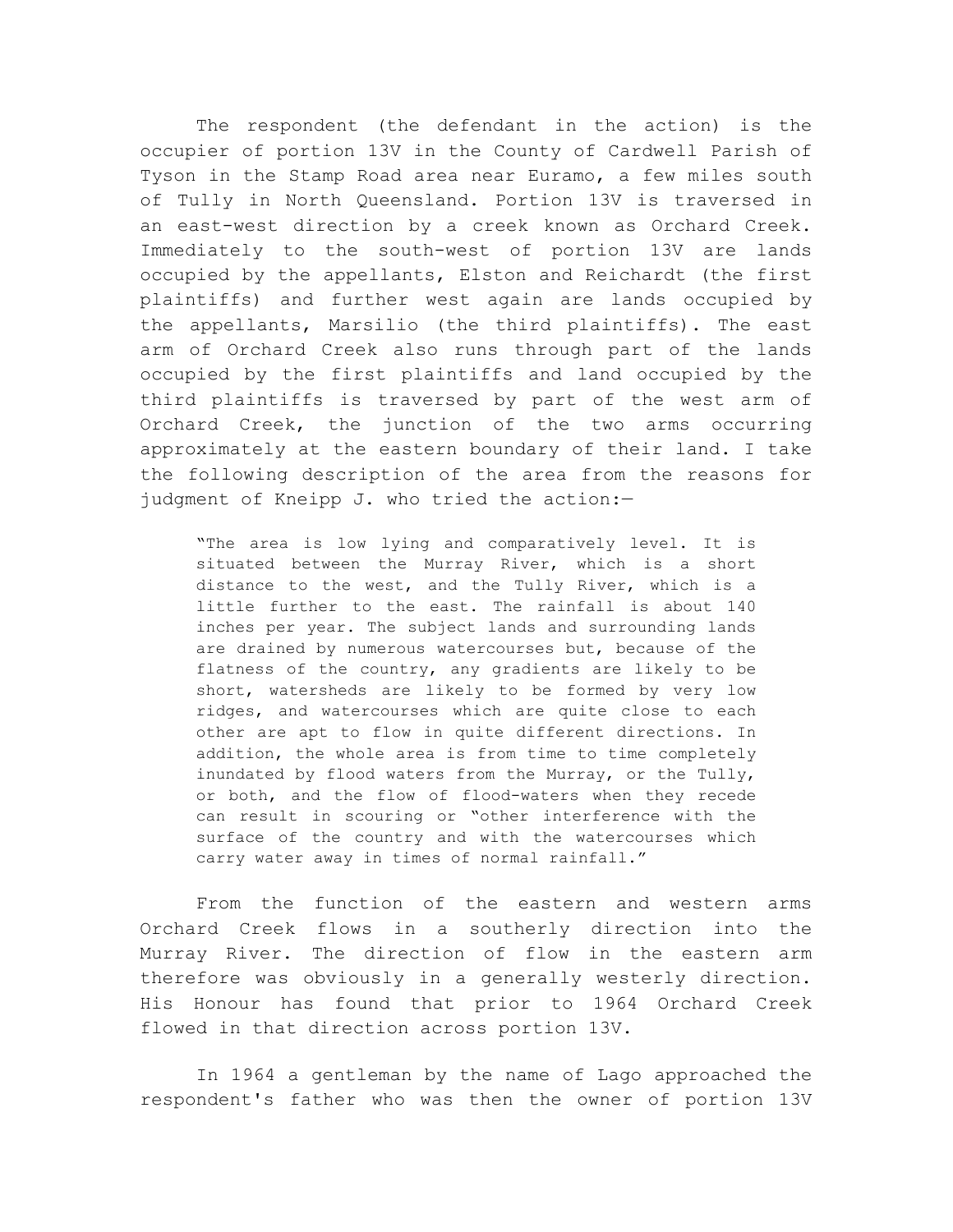The respondent (the defendant in the action) is the occupier of portion 13V in the County of Cardwell Parish of Tyson in the Stamp Road area near Euramo, a few miles south of Tully in North Queensland. Portion 13V is traversed in an east-west direction by a creek known as Orchard Creek. Immediately to the south-west of portion 13V are lands occupied by the appellants, Elston and Reichardt (the first plaintiffs) and further west again are lands occupied by the appellants, Marsilio (the third plaintiffs). The east arm of Orchard Creek also runs through part of the lands occupied by the first plaintiffs and land occupied by the third plaintiffs is traversed by part of the west arm of Orchard Creek, the junction of the two arms occurring approximately at the eastern boundary of their land. I take the following description of the area from the reasons for judgment of Kneipp J. who tried the action:-

"The area is low lying and comparatively level. It is situated between the Murray River, which is a short distance to the west, and the Tully River, which is a little further to the east. The rainfall is about 140 inches per year. The subject lands and surrounding lands are drained by numerous watercourses but, because of the flatness of the country, any gradients are likely to be short, watersheds are likely to be formed by very low ridges, and watercourses which are quite close to each other are apt to flow in quite different directions. In addition, the whole area is from time to time completely inundated by flood waters from the Murray, or the Tully, or both, and the flow of flood-waters when they recede can result in scouring or "other interference with the surface of the country and with the watercourses which carry water away in times of normal rainfall."

From the function of the eastern and western arms Orchard Creek flows in a southerly direction into the Murray River. The direction of flow in the eastern arm therefore was obviously in a generally westerly direction. His Honour has found that prior to 1964 Orchard Creek flowed in that direction across portion 13V.

In 1964 a gentleman by the name of Lago approached the respondent's father who was then the owner of portion 13V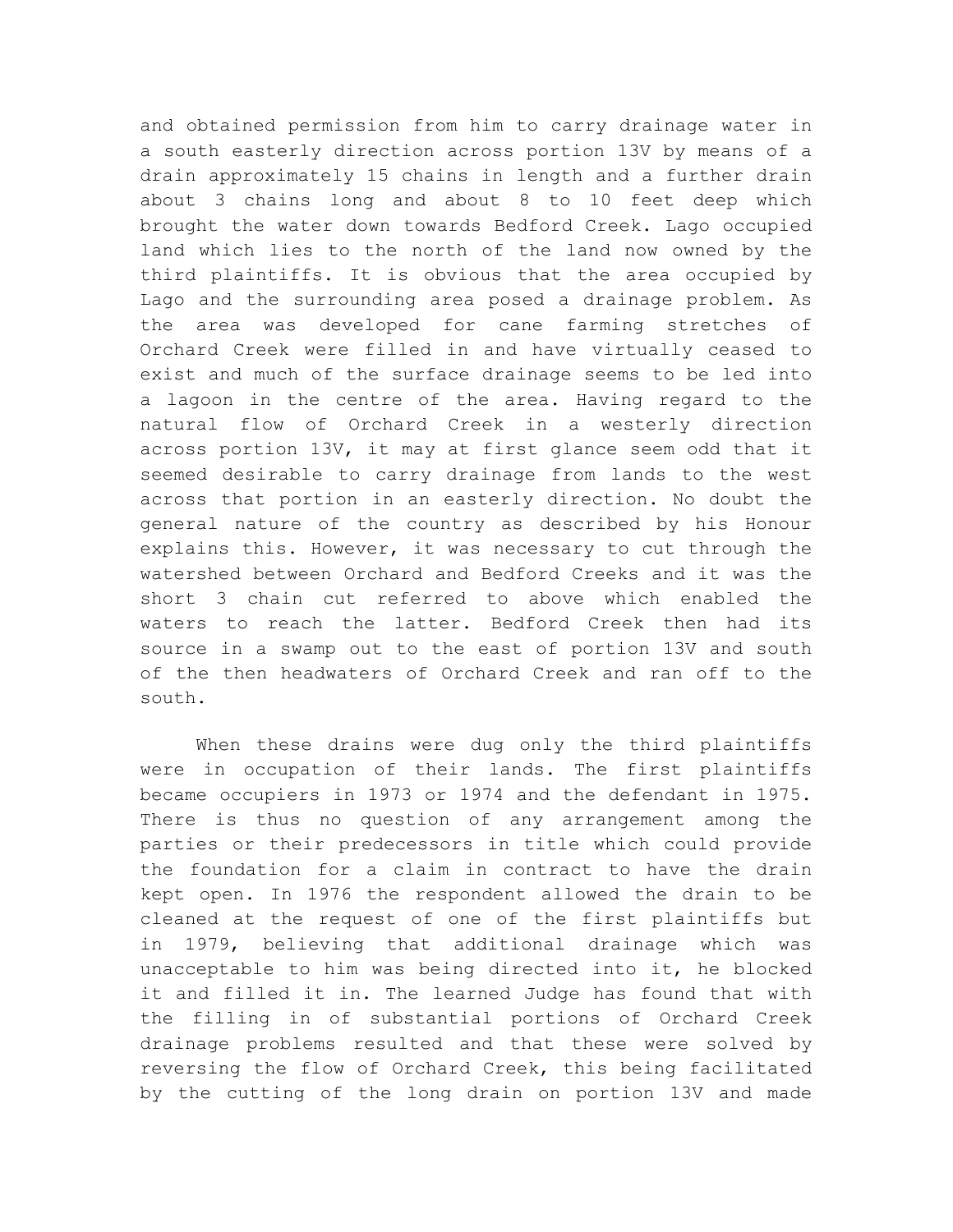and obtained permission from him to carry drainage water in a south easterly direction across portion 13V by means of a drain approximately 15 chains in length and a further drain about 3 chains long and about 8 to 10 feet deep which brought the water down towards Bedford Creek. Lago occupied land which lies to the north of the land now owned by the third plaintiffs. It is obvious that the area occupied by Lago and the surrounding area posed a drainage problem. As the area was developed for cane farming stretches of Orchard Creek were filled in and have virtually ceased to exist and much of the surface drainage seems to be led into a lagoon in the centre of the area. Having regard to the natural flow of Orchard Creek in a westerly direction across portion 13V, it may at first glance seem odd that it seemed desirable to carry drainage from lands to the west across that portion in an easterly direction. No doubt the general nature of the country as described by his Honour explains this. However, it was necessary to cut through the watershed between Orchard and Bedford Creeks and it was the short 3 chain cut referred to above which enabled the waters to reach the latter. Bedford Creek then had its source in a swamp out to the east of portion 13V and south of the then headwaters of Orchard Creek and ran off to the south.

When these drains were dug only the third plaintiffs were in occupation of their lands. The first plaintiffs became occupiers in 1973 or 1974 and the defendant in 1975. There is thus no question of any arrangement among the parties or their predecessors in title which could provide the foundation for a claim in contract to have the drain kept open. In 1976 the respondent allowed the drain to be cleaned at the request of one of the first plaintiffs but in 1979, believing that additional drainage which was unacceptable to him was being directed into it, he blocked it and filled it in. The learned Judge has found that with the filling in of substantial portions of Orchard Creek drainage problems resulted and that these were solved by reversing the flow of Orchard Creek, this being facilitated by the cutting of the long drain on portion 13V and made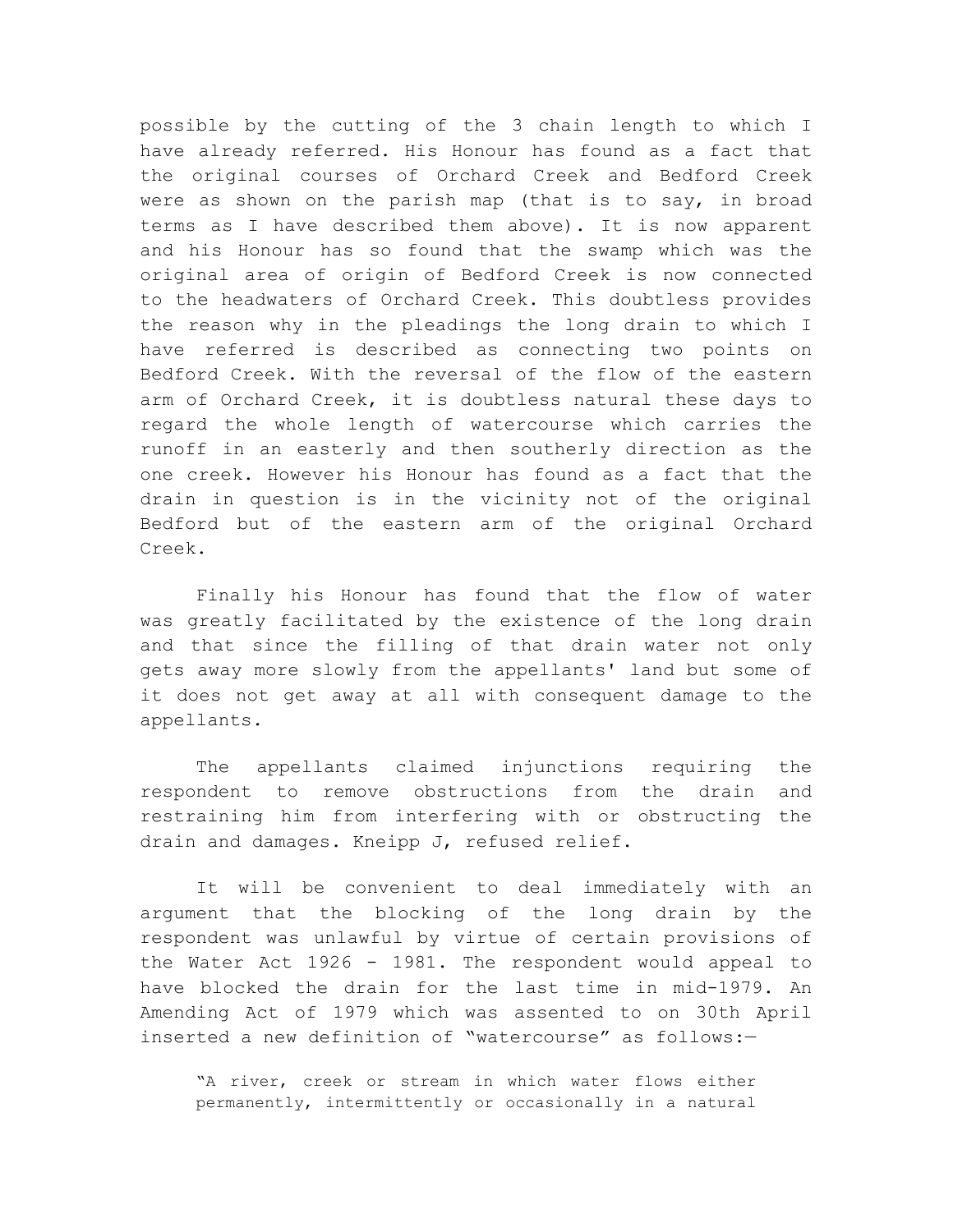possible by the cutting of the 3 chain length to which I have already referred. His Honour has found as a fact that the original courses of Orchard Creek and Bedford Creek were as shown on the parish map (that is to say, in broad terms as I have described them above). It is now apparent and his Honour has so found that the swamp which was the original area of origin of Bedford Creek is now connected to the headwaters of Orchard Creek. This doubtless provides the reason why in the pleadings the long drain to which I have referred is described as connecting two points on Bedford Creek. With the reversal of the flow of the eastern arm of Orchard Creek, it is doubtless natural these days to regard the whole length of watercourse which carries the runoff in an easterly and then southerly direction as the one creek. However his Honour has found as a fact that the drain in question is in the vicinity not of the original Bedford but of the eastern arm of the original Orchard Creek.

Finally his Honour has found that the flow of water was greatly facilitated by the existence of the long drain and that since the filling of that drain water not only gets away more slowly from the appellants' land but some of it does not get away at all with consequent damage to the appellants.

The appellants claimed injunctions requiring the respondent to remove obstructions from the drain and restraining him from interfering with or obstructing the drain and damages. Kneipp J, refused relief.

It will be convenient to deal immediately with an argument that the blocking of the long drain by the respondent was unlawful by virtue of certain provisions of the Water Act 1926 - 1981. The respondent would appeal to have blocked the drain for the last time in mid-1979. An Amending Act of 1979 which was assented to on 30th April inserted a new definition of "watercourse" as follows:—

"A river, creek or stream in which water flows either permanently, intermittently or occasionally in a natural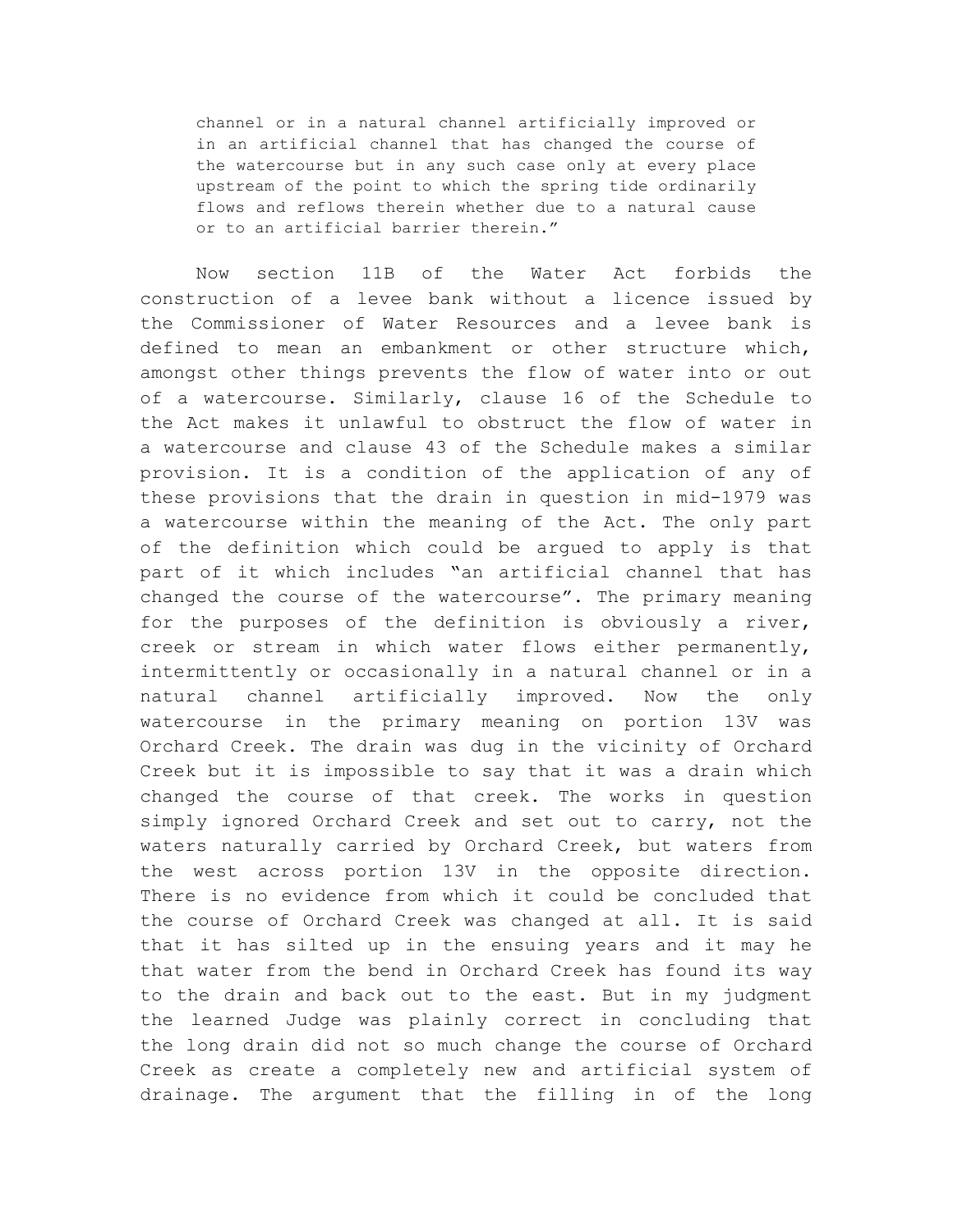channel or in a natural channel artificially improved or in an artificial channel that has changed the course of the watercourse but in any such case only at every place upstream of the point to which the spring tide ordinarily flows and reflows therein whether due to a natural cause or to an artificial barrier therein."

Now section 11B of the Water Act forbids the construction of a levee bank without a licence issued by the Commissioner of Water Resources and a levee bank is defined to mean an embankment or other structure which, amongst other things prevents the flow of water into or out of a watercourse. Similarly, clause 16 of the Schedule to the Act makes it unlawful to obstruct the flow of water in a watercourse and clause 43 of the Schedule makes a similar provision. It is a condition of the application of any of these provisions that the drain in question in mid-1979 was a watercourse within the meaning of the Act. The only part of the definition which could be argued to apply is that part of it which includes "an artificial channel that has changed the course of the watercourse". The primary meaning for the purposes of the definition is obviously a river, creek or stream in which water flows either permanently, intermittently or occasionally in a natural channel or in a natural channel artificially improved. Now the only watercourse in the primary meaning on portion 13V was Orchard Creek. The drain was dug in the vicinity of Orchard Creek but it is impossible to say that it was a drain which changed the course of that creek. The works in question simply ignored Orchard Creek and set out to carry, not the waters naturally carried by Orchard Creek, but waters from the west across portion 13V in the opposite direction. There is no evidence from which it could be concluded that the course of Orchard Creek was changed at all. It is said that it has silted up in the ensuing years and it may he that water from the bend in Orchard Creek has found its way to the drain and back out to the east. But in my judgment the learned Judge was plainly correct in concluding that the long drain did not so much change the course of Orchard Creek as create a completely new and artificial system of drainage. The argument that the filling in of the long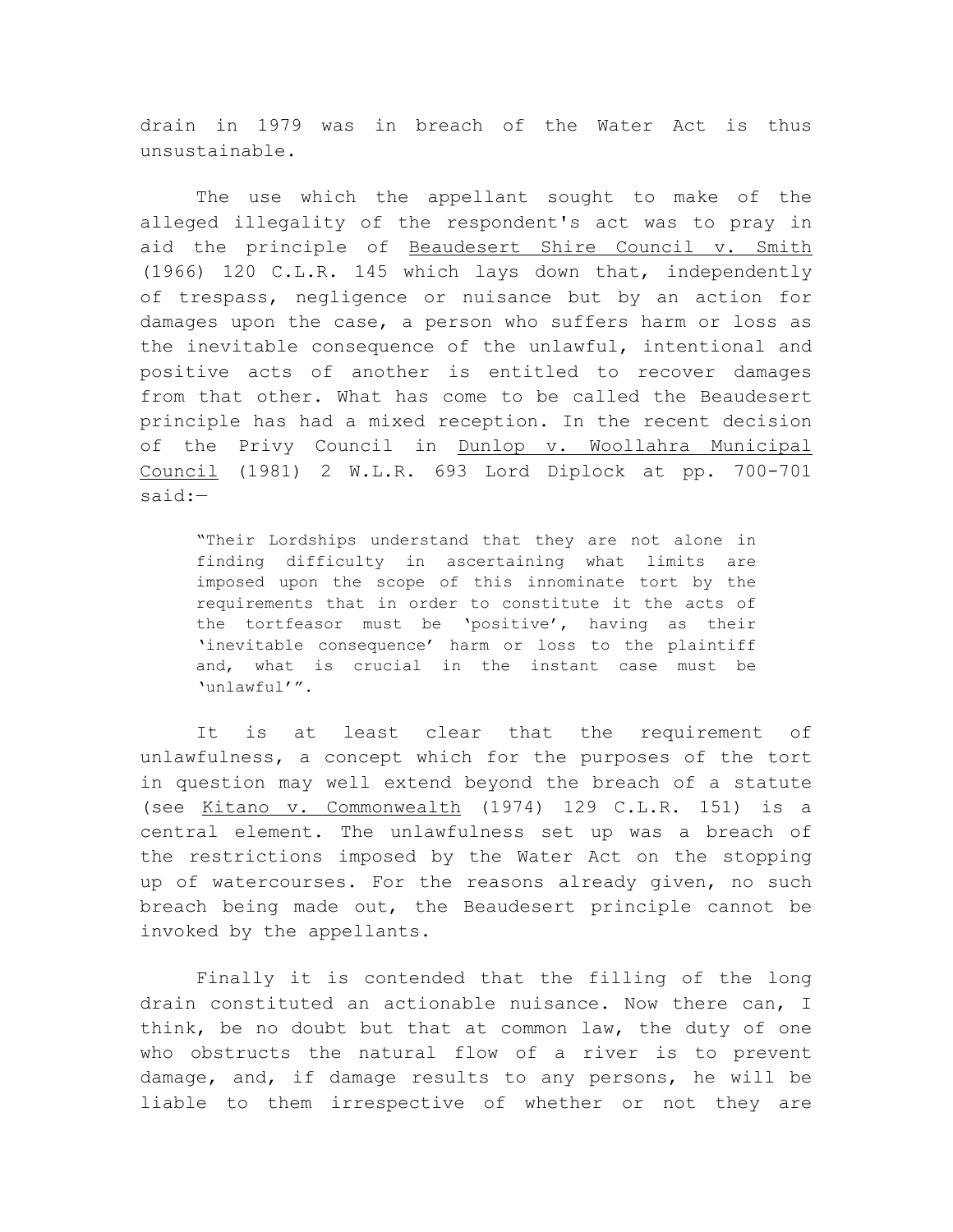drain in 1979 was in breach of the Water Act is thus unsustainable.

The use which the appellant sought to make of the alleged illegality of the respondent's act was to pray in aid the principle of Beaudesert Shire Council v. Smith (1966) 120 C.L.R. 145 which lays down that, independently of trespass, negligence or nuisance but by an action for damages upon the case, a person who suffers harm or loss as the inevitable consequence of the unlawful, intentional and positive acts of another is entitled to recover damages from that other. What has come to be called the Beaudesert principle has had a mixed reception. In the recent decision of the Privy Council in Dunlop v. Woollahra Municipal Council (1981) 2 W.L.R. 693 Lord Diplock at pp. 700-701 said:—

"Their Lordships understand that they are not alone in finding difficulty in ascertaining what limits are imposed upon the scope of this innominate tort by the requirements that in order to constitute it the acts of the tortfeasor must be 'positive', having as their 'inevitable consequence' harm or loss to the plaintiff and, what is crucial in the instant case must be 'unlawful'".

It is at least clear that the requirement of unlawfulness, a concept which for the purposes of the tort in question may well extend beyond the breach of a statute (see Kitano v. Commonwealth (1974) 129 C.L.R. 151) is a central element. The unlawfulness set up was a breach of the restrictions imposed by the Water Act on the stopping up of watercourses. For the reasons already given, no such breach being made out, the Beaudesert principle cannot be invoked by the appellants.

Finally it is contended that the filling of the long drain constituted an actionable nuisance. Now there can, I think, be no doubt but that at common law, the duty of one who obstructs the natural flow of a river is to prevent damage, and, if damage results to any persons, he will be liable to them irrespective of whether or not they are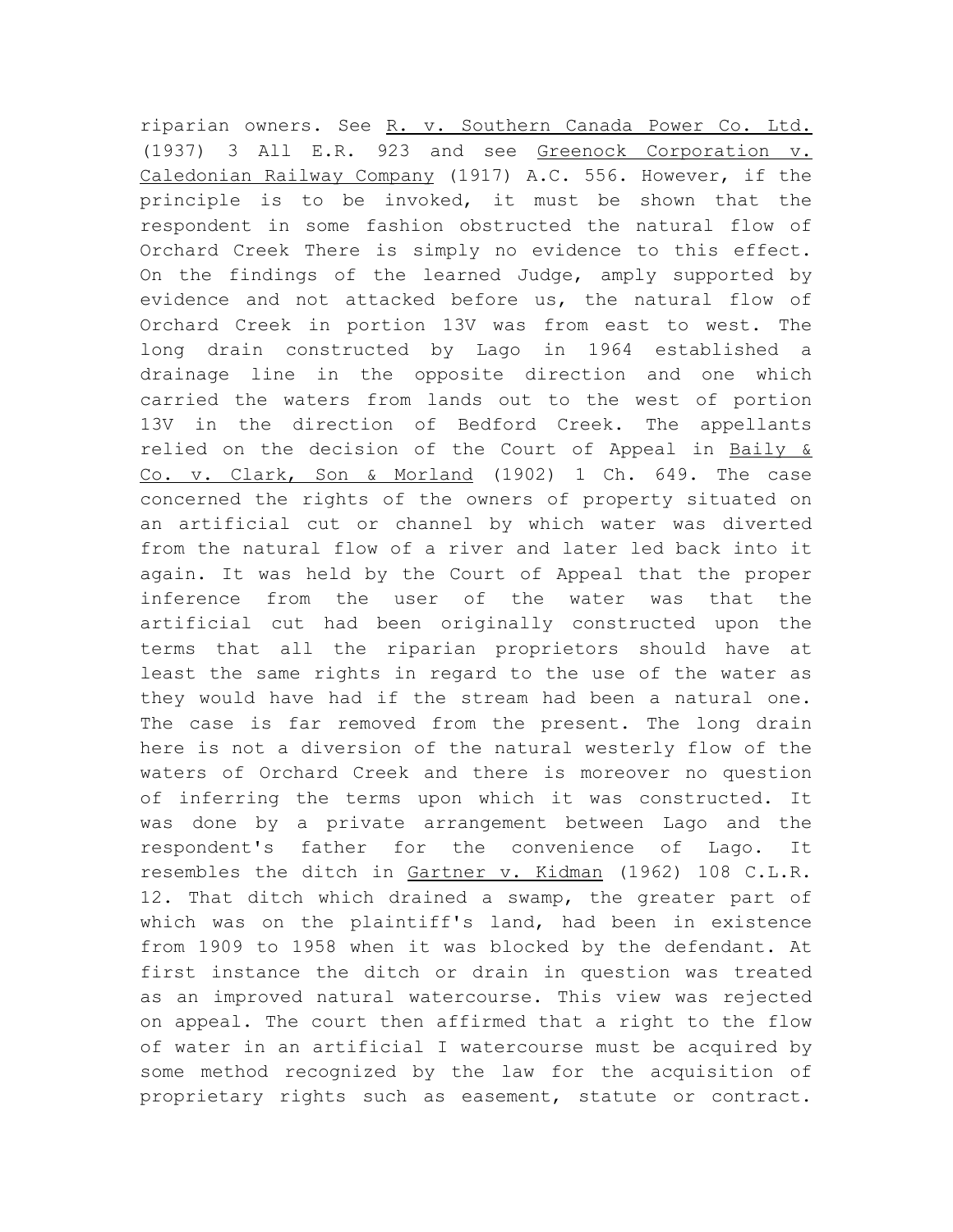riparian owners. See R. v. Southern Canada Power Co. Ltd. (1937) 3 All E.R. 923 and see Greenock Corporation v. Caledonian Railway Company (1917) A.C. 556. However, if the principle is to be invoked, it must be shown that the respondent in some fashion obstructed the natural flow of Orchard Creek There is simply no evidence to this effect. On the findings of the learned Judge, amply supported by evidence and not attacked before us, the natural flow of Orchard Creek in portion 13V was from east to west. The long drain constructed by Lago in 1964 established a drainage line in the opposite direction and one which carried the waters from lands out to the west of portion 13V in the direction of Bedford Creek. The appellants relied on the decision of the Court of Appeal in Baily & Co. v. Clark, Son & Morland (1902) 1 Ch. 649. The case concerned the rights of the owners of property situated on an artificial cut or channel by which water was diverted from the natural flow of a river and later led back into it again. It was held by the Court of Appeal that the proper inference from the user of the water was that the artificial cut had been originally constructed upon the terms that all the riparian proprietors should have at least the same rights in regard to the use of the water as they would have had if the stream had been a natural one. The case is far removed from the present. The long drain here is not a diversion of the natural westerly flow of the waters of Orchard Creek and there is moreover no question of inferring the terms upon which it was constructed. It was done by a private arrangement between Lago and the respondent's father for the convenience of Lago. It resembles the ditch in Gartner v. Kidman (1962) 108 C.L.R. 12. That ditch which drained a swamp, the greater part of which was on the plaintiff's land, had been in existence from 1909 to 1958 when it was blocked by the defendant. At first instance the ditch or drain in question was treated as an improved natural watercourse. This view was rejected on appeal. The court then affirmed that a right to the flow of water in an artificial I watercourse must be acquired by some method recognized by the law for the acquisition of proprietary rights such as easement, statute or contract.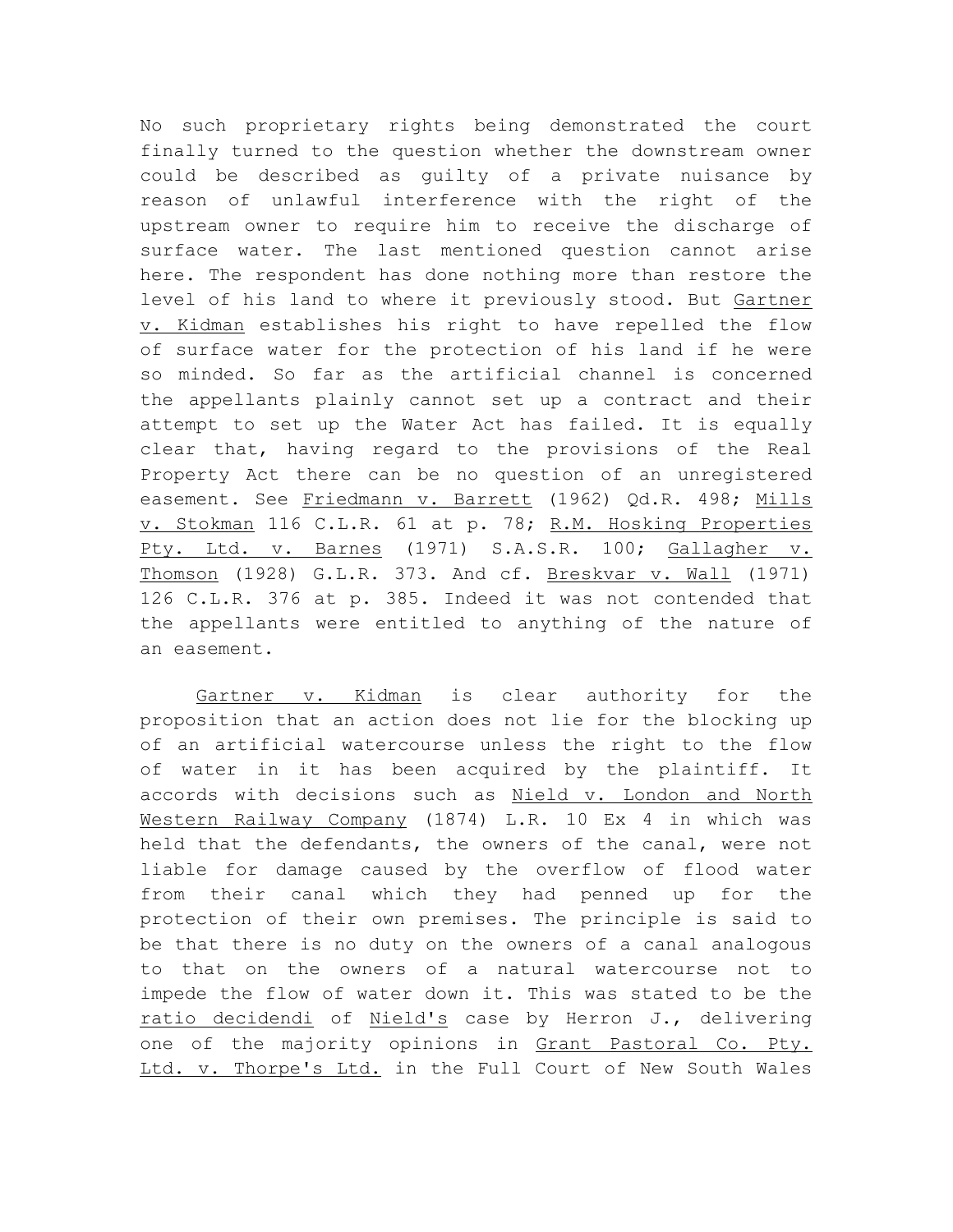No such proprietary rights being demonstrated the court finally turned to the question whether the downstream owner could be described as guilty of a private nuisance by reason of unlawful interference with the right of the upstream owner to require him to receive the discharge of surface water. The last mentioned question cannot arise here. The respondent has done nothing more than restore the level of his land to where it previously stood. But Gartner v. Kidman establishes his right to have repelled the flow of surface water for the protection of his land if he were so minded. So far as the artificial channel is concerned the appellants plainly cannot set up a contract and their attempt to set up the Water Act has failed. It is equally clear that, having regard to the provisions of the Real Property Act there can be no question of an unregistered easement. See Friedmann v. Barrett (1962) Qd.R. 498; Mills v. Stokman 116 C.L.R. 61 at p. 78; R.M. Hosking Properties Pty. Ltd. v. Barnes (1971) S.A.S.R. 100; Gallagher v. Thomson (1928) G.L.R. 373. And cf. Breskvar v. Wall (1971) 126 C.L.R. 376 at p. 385. Indeed it was not contended that the appellants were entitled to anything of the nature of an easement.

Gartner v. Kidman is clear authority for the proposition that an action does not lie for the blocking up of an artificial watercourse unless the right to the flow of water in it has been acquired by the plaintiff. It accords with decisions such as Nield v. London and North Western Railway Company (1874) L.R. 10 Ex 4 in which was held that the defendants, the owners of the canal, were not liable for damage caused by the overflow of flood water from their canal which they had penned up for the protection of their own premises. The principle is said to be that there is no duty on the owners of a canal analogous to that on the owners of a natural watercourse not to impede the flow of water down it. This was stated to be the ratio decidendi of Nield's case by Herron J., delivering one of the majority opinions in Grant Pastoral Co. Pty. Ltd. v. Thorpe's Ltd. in the Full Court of New South Wales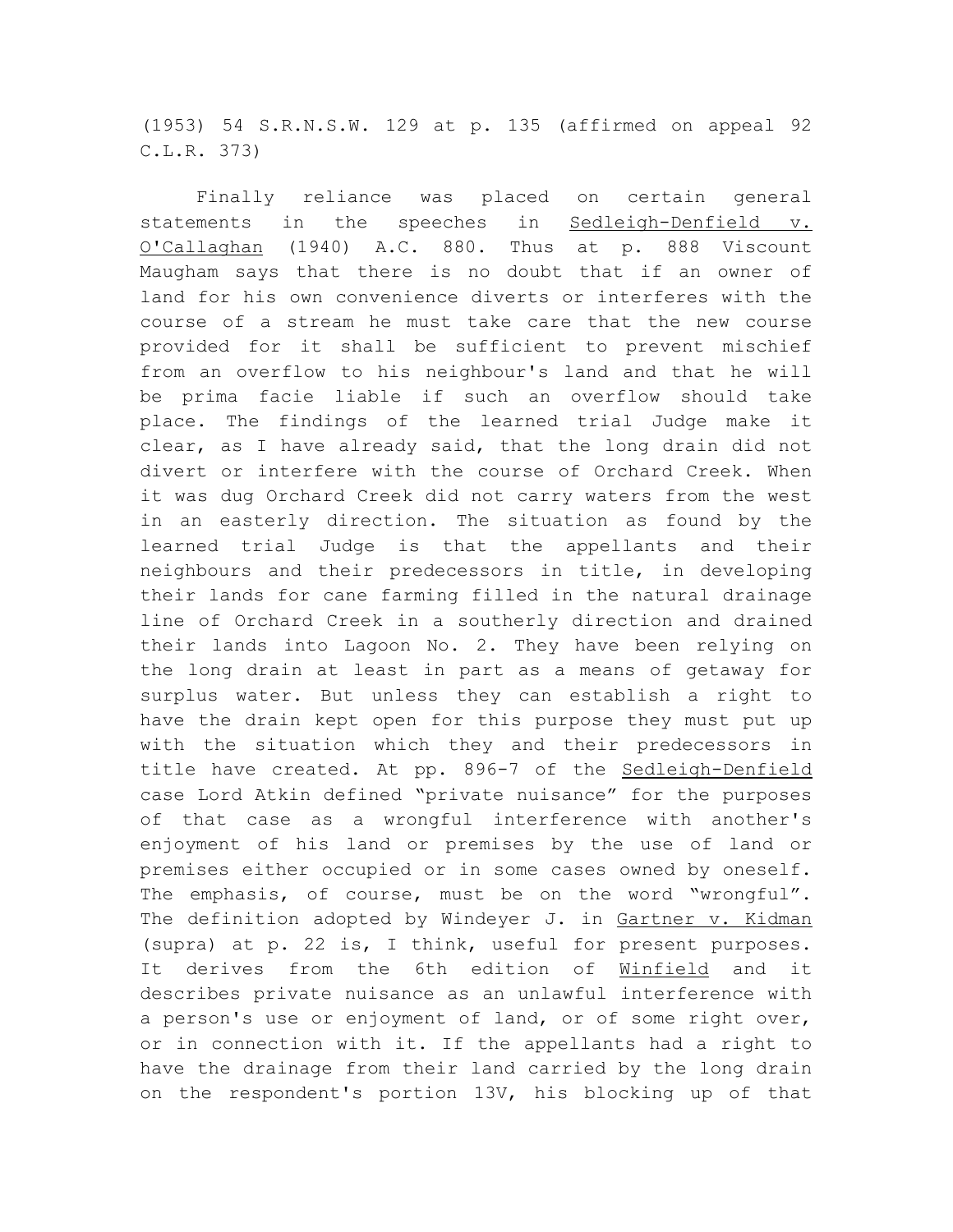(1953) 54 S.R.N.S.W. 129 at p. 135 (affirmed on appeal 92 C.L.R. 373)

Finally reliance was placed on certain general statements in the speeches in Sedleigh-Denfield v. O'Callaghan (1940) A.C. 880. Thus at p. 888 Viscount Maugham says that there is no doubt that if an owner of land for his own convenience diverts or interferes with the course of a stream he must take care that the new course provided for it shall be sufficient to prevent mischief from an overflow to his neighbour's land and that he will be prima facie liable if such an overflow should take place. The findings of the learned trial Judge make it clear, as I have already said, that the long drain did not divert or interfere with the course of Orchard Creek. When it was dug Orchard Creek did not carry waters from the west in an easterly direction. The situation as found by the learned trial Judge is that the appellants and their neighbours and their predecessors in title, in developing their lands for cane farming filled in the natural drainage line of Orchard Creek in a southerly direction and drained their lands into Lagoon No. 2. They have been relying on the long drain at least in part as a means of getaway for surplus water. But unless they can establish a right to have the drain kept open for this purpose they must put up with the situation which they and their predecessors in title have created. At pp. 896-7 of the Sedleigh-Denfield case Lord Atkin defined "private nuisance" for the purposes of that case as a wrongful interference with another's enjoyment of his land or premises by the use of land or premises either occupied or in some cases owned by oneself. The emphasis, of course, must be on the word "wrongful". The definition adopted by Windeyer J. in Gartner v. Kidman (supra) at p. 22 is, I think, useful for present purposes. It derives from the 6th edition of Winfield and it describes private nuisance as an unlawful interference with a person's use or enjoyment of land, or of some right over, or in connection with it. If the appellants had a right to have the drainage from their land carried by the long drain on the respondent's portion 13V, his blocking up of that